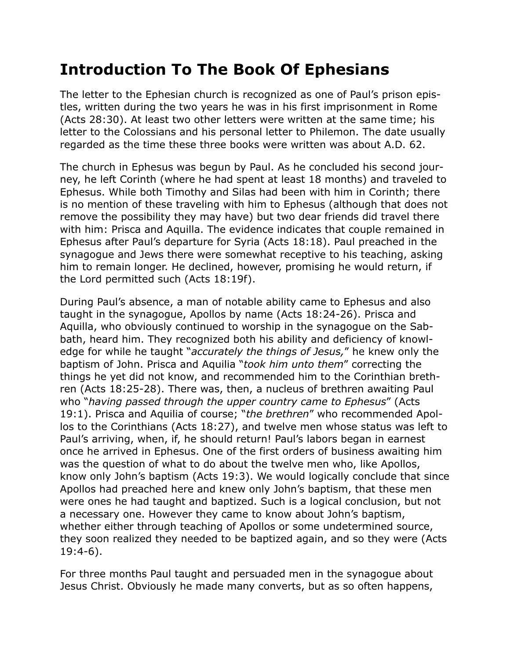## **Introduction To The Book Of Ephesians**

The letter to the Ephesian church is recognized as one of Paul's prison epistles, written during the two years he was in his first imprisonment in Rome (Acts 28:30). At least two other letters were written at the same time; his letter to the Colossians and his personal letter to Philemon. The date usually regarded as the time these three books were written was about A.D. 62.

The church in Ephesus was begun by Paul. As he concluded his second journey, he left Corinth (where he had spent at least 18 months) and traveled to Ephesus. While both Timothy and Silas had been with him in Corinth; there is no mention of these traveling with him to Ephesus (although that does not remove the possibility they may have) but two dear friends did travel there with him: Prisca and Aquilla. The evidence indicates that couple remained in Ephesus after Paul's departure for Syria (Acts 18:18). Paul preached in the synagogue and Jews there were somewhat receptive to his teaching, asking him to remain longer. He declined, however, promising he would return, if the Lord permitted such (Acts 18:19f).

During Paul's absence, a man of notable ability came to Ephesus and also taught in the synagogue, Apollos by name (Acts 18:24-26). Prisca and Aquilla, who obviously continued to worship in the synagogue on the Sabbath, heard him. They recognized both his ability and deficiency of knowledge for while he taught "*accurately the things of Jesus,*" he knew only the baptism of John. Prisca and Aquilia "*took him unto them*" correcting the things he yet did not know, and recommended him to the Corinthian brethren (Acts 18:25-28). There was, then, a nucleus of brethren awaiting Paul who "*having passed through the upper country came to Ephesus*" (Acts 19:1). Prisca and Aquilia of course; "*the brethren*" who recommended Apollos to the Corinthians (Acts 18:27), and twelve men whose status was left to Paul's arriving, when, if, he should return! Paul's labors began in earnest once he arrived in Ephesus. One of the first orders of business awaiting him was the question of what to do about the twelve men who, like Apollos, know only John's baptism (Acts 19:3). We would logically conclude that since Apollos had preached here and knew only John's baptism, that these men were ones he had taught and baptized. Such is a logical conclusion, but not a necessary one. However they came to know about John's baptism, whether either through teaching of Apollos or some undetermined source, they soon realized they needed to be baptized again, and so they were (Acts 19:4-6).

For three months Paul taught and persuaded men in the synagogue about Jesus Christ. Obviously he made many converts, but as so often happens,